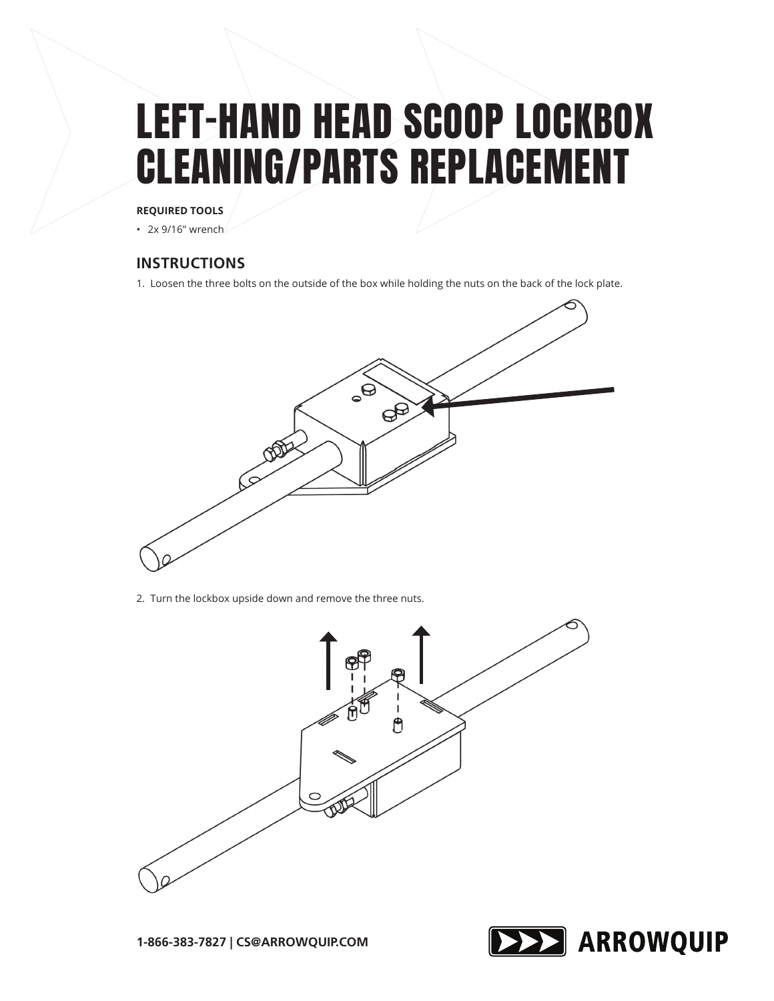# LEFT-HAND HEAD SCOOP LOCKBOX CLEANING/PARTS REPLACEMENT

## **REQUIRED TOOLS**

• 2x 9/16" wrench

# **INSTRUCTIONS**

1. Loosen the three bolts on the outside of the box while holding the nuts on the back of the lock plate.



2. Turn the lockbox upside down and remove the three nuts.



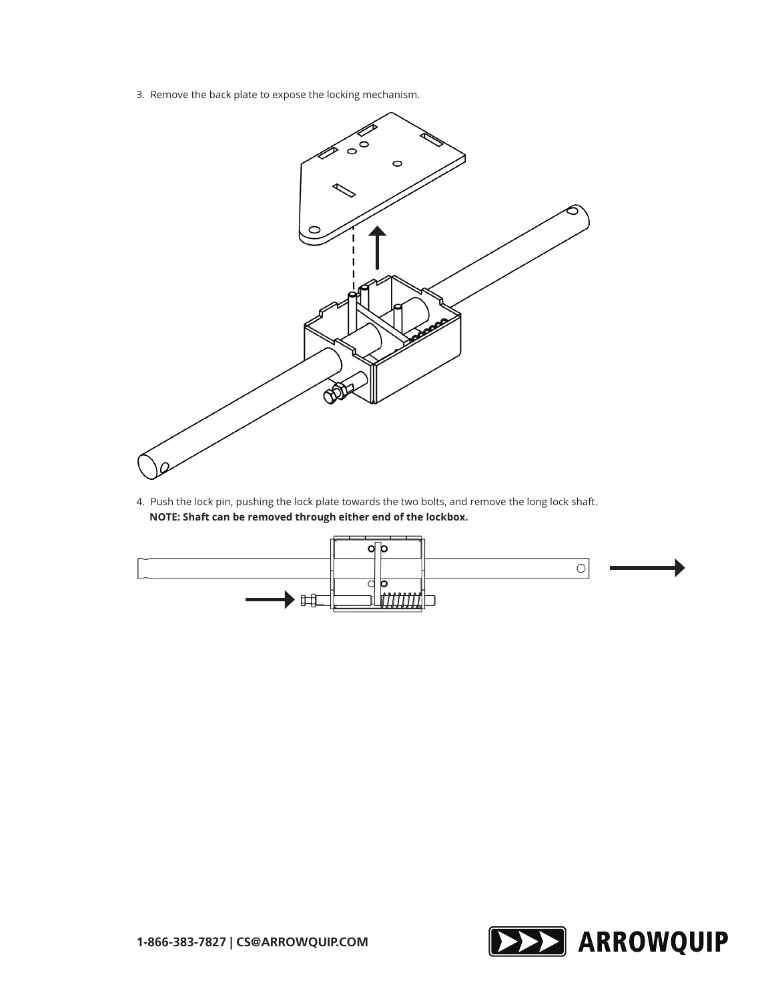3. Remove the back plate to expose the locking mechanism.



4. Push the lock pin, pushing the lock plate towards the two bolts, and remove the long lock shaft. **NOTE: Shaft can be removed through either end of the lockbox.**



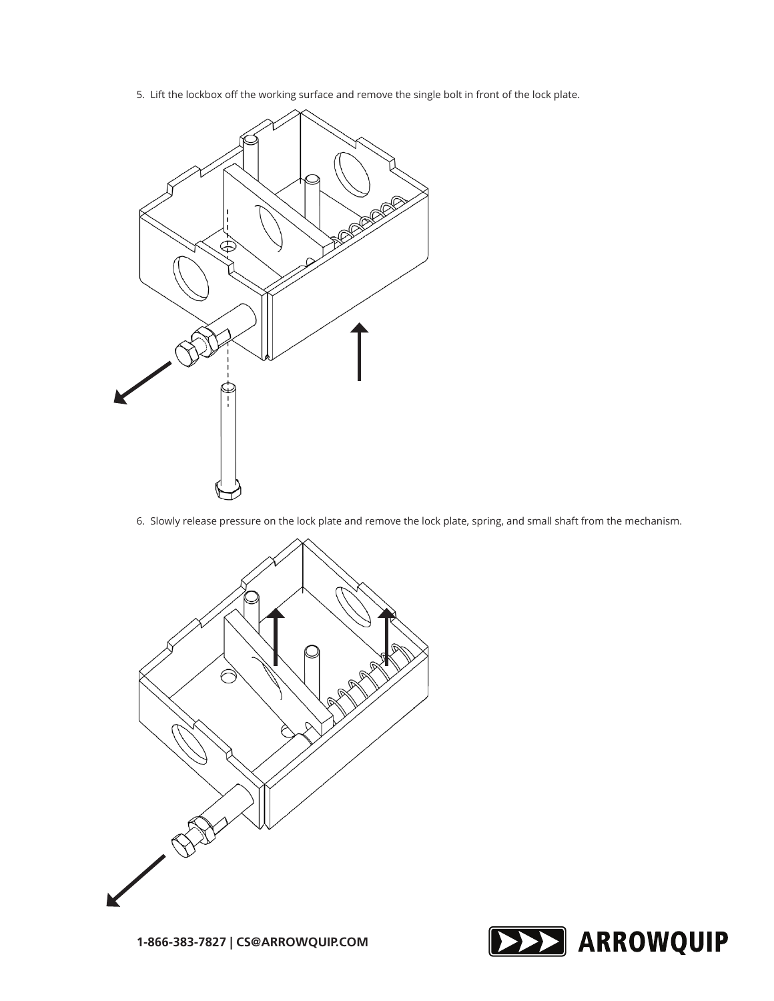5. Lift the lockbox off the working surface and remove the single bolt in front of the lock plate.



6. Slowly release pressure on the lock plate and remove the lock plate, spring, and small shaft from the mechanism.